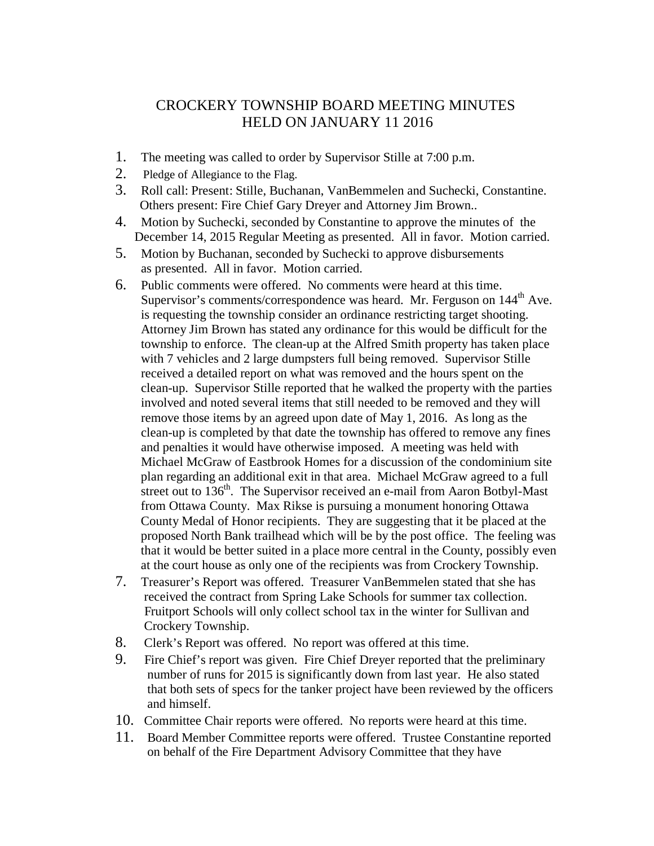## CROCKERY TOWNSHIP BOARD MEETING MINUTES HELD ON JANUARY 11 2016

- 1. The meeting was called to order by Supervisor Stille at 7:00 p.m.
- 2. Pledge of Allegiance to the Flag.
- 3. Roll call: Present: Stille, Buchanan, VanBemmelen and Suchecki, Constantine. Others present: Fire Chief Gary Dreyer and Attorney Jim Brown..
- 4. Motion by Suchecki, seconded by Constantine to approve the minutes of the December 14, 2015 Regular Meeting as presented. All in favor. Motion carried.
- 5. Motion by Buchanan, seconded by Suchecki to approve disbursements as presented. All in favor. Motion carried.
- 6. Public comments were offered. No comments were heard at this time. Supervisor's comments/correspondence was heard. Mr. Ferguson on 144<sup>th</sup> Ave. is requesting the township consider an ordinance restricting target shooting. Attorney Jim Brown has stated any ordinance for this would be difficult for the township to enforce. The clean-up at the Alfred Smith property has taken place with 7 vehicles and 2 large dumpsters full being removed. Supervisor Stille received a detailed report on what was removed and the hours spent on the clean-up. Supervisor Stille reported that he walked the property with the parties involved and noted several items that still needed to be removed and they will remove those items by an agreed upon date of May 1, 2016. As long as the clean-up is completed by that date the township has offered to remove any fines and penalties it would have otherwise imposed. A meeting was held with Michael McGraw of Eastbrook Homes for a discussion of the condominium site plan regarding an additional exit in that area. Michael McGraw agreed to a full street out to  $136<sup>th</sup>$ . The Supervisor received an e-mail from Aaron Botbyl-Mast from Ottawa County. Max Rikse is pursuing a monument honoring Ottawa County Medal of Honor recipients. They are suggesting that it be placed at the proposed North Bank trailhead which will be by the post office. The feeling was that it would be better suited in a place more central in the County, possibly even at the court house as only one of the recipients was from Crockery Township.
- 7. Treasurer's Report was offered. Treasurer VanBemmelen stated that she has received the contract from Spring Lake Schools for summer tax collection. Fruitport Schools will only collect school tax in the winter for Sullivan and Crockery Township.
- 8. Clerk's Report was offered. No report was offered at this time.
- 9. Fire Chief's report was given. Fire Chief Dreyer reported that the preliminary number of runs for 2015 is significantly down from last year. He also stated that both sets of specs for the tanker project have been reviewed by the officers and himself.
- 10. Committee Chair reports were offered. No reports were heard at this time.
- 11. Board Member Committee reports were offered. Trustee Constantine reported on behalf of the Fire Department Advisory Committee that they have